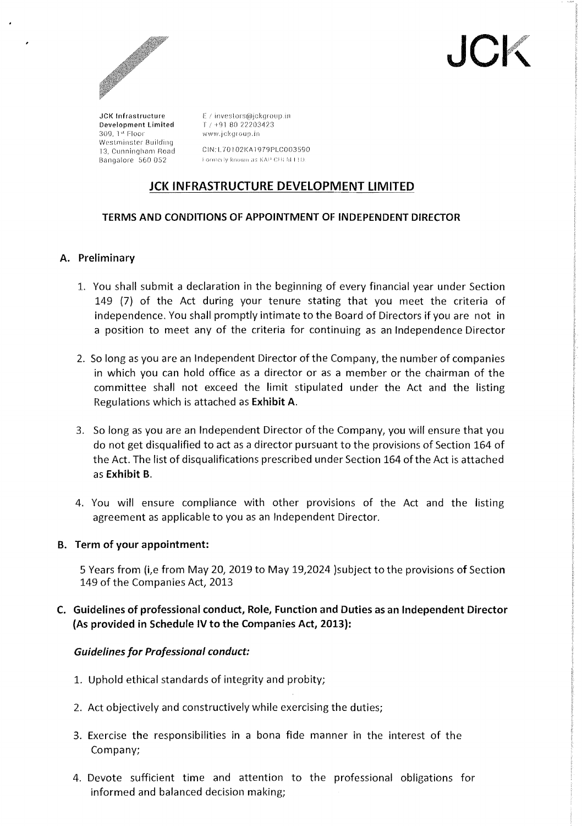

**JC** 

JCK Infrastructure E / investors@jckgroup.in<br>Development Limited T / +91 80 22203423 Development Limited<br> $309-14$  Eloor 309,1'" Floor vvww,j ckqt oup.in Westminster Building Bangalore 560 052

13, Cunningllanl Hanel CIN:L70102KA1979PLC003590

# JCK INFRASTRUCTURE DEVELOPMENT LIMITED

# TERMS AND CONDITIONS OF APPOINTMENT OF INDEPENDENT DIRECTOR

## A. Preliminary

- 1. You shall submit a declaration in the beginning of every financial year under Section 149 (7) of the Act during your tenure stating that you meet the criteria of independence, You shall promptly intimate to the Board of Directors if you are not in a position to meet any of the criteria for continuing as an Independence Director
- 2. So long as you are an Independent Director of the Company, the number of companies in which you can hold office as a director or as a member or the chairman of the committee shall not exceed the limit stipulated under the Act and the listing Regulations which is attached as Exhibit A.
- 3. So long as you are an Independent Director of the Company, you will ensure that you do not get disqualified to act as a director pursuant to the provisions of Section 164 of the Act. The list of disqualifications prescribed under Section 164 of the Act is attached as Exhibit B.
- 4. You will ensure compliance with other provisions of the Act and the listing agreement as applicable to you as an Independent Director.

#### B. Term of your appointment:

5 Years from (i,e from May 20,2019 to May 19,2024 )subject to the provisions of Section 149 of the Companies Act, 2013

# C. Guidelines of professional conduct, Role, Function and Duties as an Independent Director (As provided in Schedule IV to the Companies Act, 2013):

#### *Guidelines for Professional conduct:*

- 1. Uphold ethical standards of integrity and probity;
- 2. Act objectively and constructively while exercising the duties;
- 3. Exercise the responsibilities in a bona fide manner in the interest of the Company;
- 4. Devote sufficient time and attention to the professional obligations for informed and balanced decision making;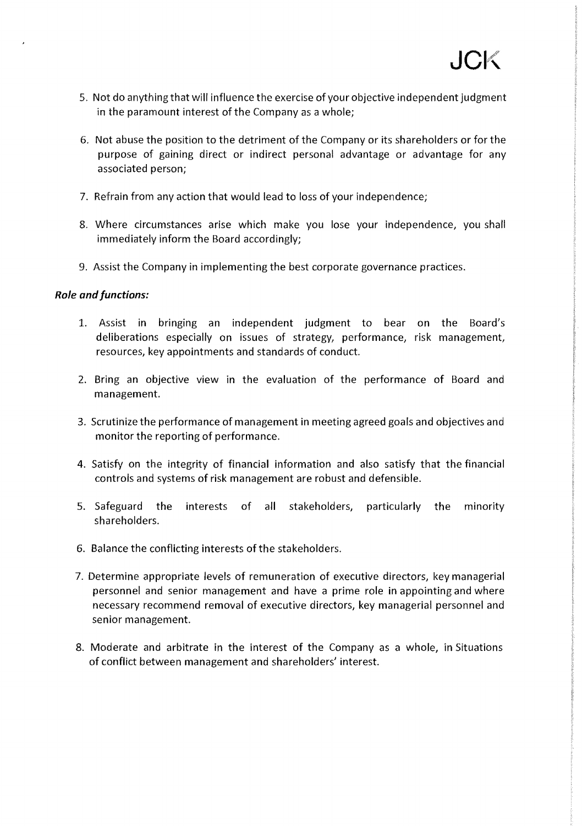- 5. Not do anything that will influence the exercise of your objective independent judgment in the paramount interest of the Company as a whole;
- 6. Not abuse the position to the detriment of the Company or its shareholders or for the purpose of gaining direct or indirect personal advantage or advantage for any associated person;
- 7. Refrain from any action that would lead to loss of your independence;
- 8. Where circumstances arise which make you lose your independence, you shall immediately inform the Board accordingly;
- 9. Assist the Company in implementing the best corporate governance practices.

#### *Role and functions:*

- 1. Assist in bringing an independent judgment to bear on the Board's deliberations especially on issues of strategy, performance, risk management, resources, key appointments and standards of conduct.
- 2. Bring an objective view in the evaluation of the performance of Board and management.
- 3. Scrutinize the performance of management in meeting agreed goals and objectives and monitor the reporting of performance.
- 4. Satisfy on the integrity of financial information and also satisfy that the financial controls and systems of risk management are robust and defensible.
- 5. Safeguard the interests of all stakeholders, particularly the minority shareholders.
- 6. Balance the conflicting interests of the stakeholders.
- 7. Determine appropriate levels of remuneration of executive directors, key managerial personnel and senior management and have a prime role in appointing and where necessary recommend removal of executive directors, key managerial personnel and senior management.
- 8. Moderate and arbitrate in the interest of the Company as a whole, in Situations of conflict between management and shareholders' interest.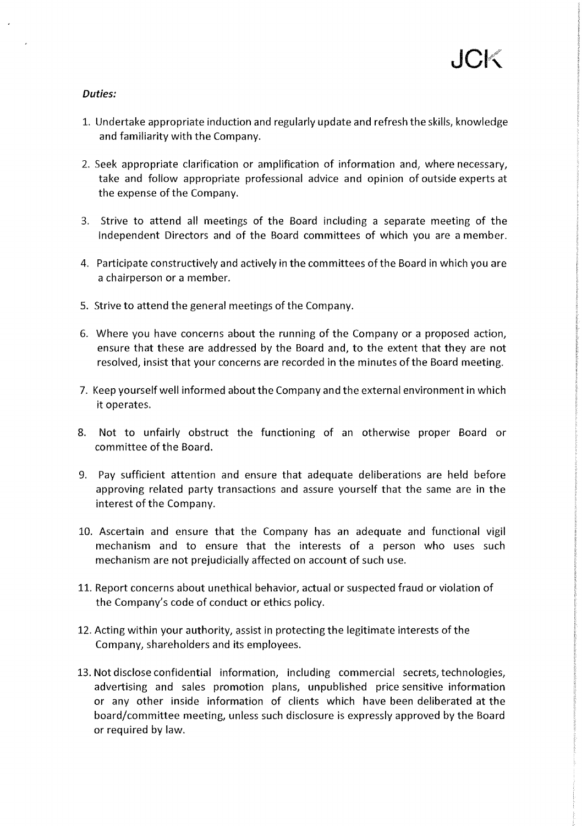#### Duties:

- 1. Undertake appropriate induction and regularly update and refresh the skills, knowledge and familiarity with the Company.
- 2. Seek appropriate clarification or amplification of information and, where necessary, take and follow appropriate professional advice and opinion of outside experts at the expense of the Company.
- 3. Strive to attend all meetings of the Board including a separate meeting of the Independent Directors and of the Board committees of which you are a member.
- 4. Participate constructively and actively in the committees of the Board in which you are a chairperson or a member.
- 5. Strive to attend the general meetings of the Company.
- 6. Where you have concerns about the running of the Company or a proposed action, ensure that these are addressed by the Board and, to the extent that they are not resolved, insist that your concerns are recorded in the minutes of the Board meeting.
- 7. Keep yourself well informed about the Company and the external environment in which it operates.
- 8. Not to unfairly obstruct the functioning of an otherwise proper Board or committee of the Board.
- 9. Pay sufficient attention and ensure that adequate deliberations are held before approving related party transactions and assure yourself that the same are in the interest of the Company.
- 10. Ascertain and ensure that the Company has an adequate and functional vigil mechanism and to ensure that the interests of a person who uses such mechanism are not prejudicially affected on account of such use.
- 11. Report concerns about unethical behavior, actual or suspected fraud or violation of the Company's code of conduct or ethics policy.
- 12. Acting within your authority, assist in protecting the legitimate interests of the Company, shareholders and its employees.
- 13. Not disclose confidential information, including commercial secrets, technologies, advertising and sales promotion plans, unpublished price sensitive information or any other inside information of clients which have been deliberated at the board/committee meeting, unless such disclosure is expressly approved by the Board or required by law.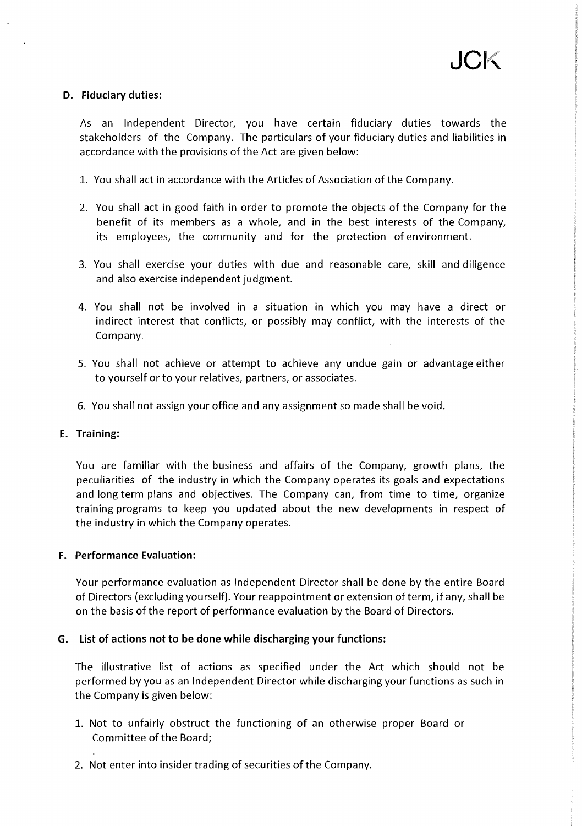#### D. Fiduciary duties:

As an Independent Director, you have certain fiduciary duties towards the stakeholders of the Company. The particulars of your fiduciary duties and liabilities in accordance with the provisions of the Act are given below:

- 1. You shall act in accordance with the Articles of Association of the Company.
- 2. You shall act in good faith in order to promote the objects of the Company for the benefit of its members as a whole, and in the best interests of the Company, its employees, the community and for the protection of environment.
- 3. You shall exercise your duties with due and reasonable care, skill and diligence and also exercise independent judgment.
- 4. You shall not be involved in a situation in which you may have a direct or indirect interest that conflicts, or possibly may conflict, with the interests of the Company.
- 5. You shall not achieve or attempt to achieve any undue gain or advantage either to yourself or to your relatives, partners, or associates.
- 6. You shall not assign your office and any assignment so made shall be void.

#### E. Training:

You are familiar with the business and affairs of the Company, growth plans, the peculiarities of the industry in which the Company operates its goals and expectations and long term plans and objectives. The Company can, from time to time, organize training programs to keep you updated about the new developments in respect of the industry in which the Company operates.

#### F. Performance Evaluation:

Your performance evaluation as Independent Director shall be done by the entire Board of Directors (excluding yourself). Your reappointment or extension of term, if any, shall be on the basis of the report of performance evaluation by the Board of Directors.

#### G. List of actions not to be done while discharging your functions:

The illustrative list of actions as specified under the Act which should not be performed by you as an Independent Director while discharging your functions as such in the Company is given below:

- 1. Not to unfairly obstruct the functioning of an otherwise proper Board or Committee of the Board;
- 2. Not enter into insider trading of securities of the Company.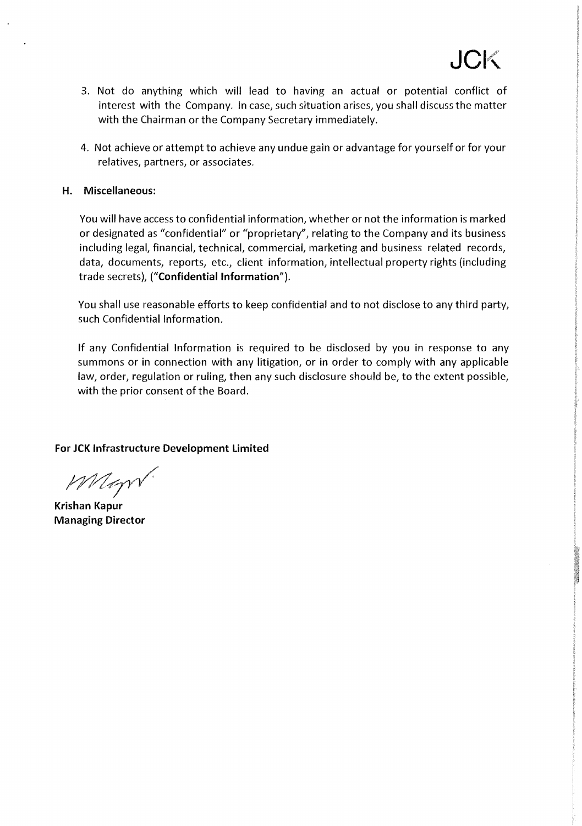- 3. Not do anything which will lead to having an actual or potential conflict of interest with the Company. In case, such situation arises, you shall discuss the matter with the Chairman or the Company Secretary immediately.
- 4. Not achieve or attempt to achieve any undue gain or advantage for yourself or for your relatives, partners, or associates.

#### **H. Miscellaneous:**

You will have access to confidential information, whether or not the information is marked or designated as "confidential" or "proprietary", relating to the Company and its business including legal, financial, technical, commercial, marketing and business related records, data, documents, reports, etc., client information, intellectual property rights (including trade secrets), ("Confidential Information").

You shall use reasonable efforts to keep confidential and to not disclose to any third party, such Confidential Information.

If any Confidential Information is required to be disclosed by you in response to any summons or in connection with any litigation, or in order to comply with any applicable law, order, regulation or ruling, then any such disclosure should be, to the extent possible, with the prior consent of the Board.

**For JCK Infrastructure Development Limited** 

Magn

**Krishan Kapur Managing Director**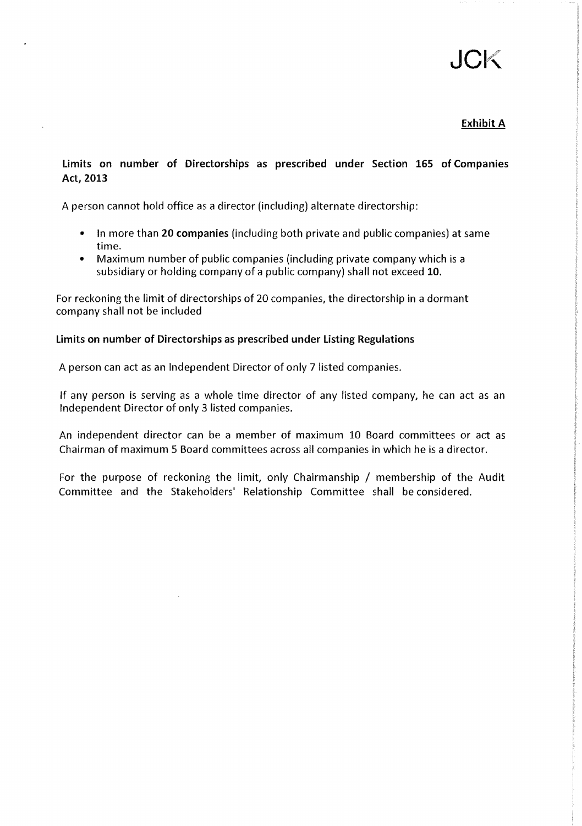# $\mathbf{L}$

## Exhibit A

# Limits on number of Directorships as prescribed under Section 165 of Companies Act, 2013

A person cannot hold office as a director (including) alternate directorship:

- In more than 20 companies (including both private and public companies) at same time.
- Maximum number of public companies (including private company which is a subsidiary or holding company of a public company) shall not exceed 10.

For reckoning the limit of directorships of 20 companies, the directorship in a dormant company shall not be included

#### Limits on number of Directorships as prescribed under Listing Regulations

A person can act as an Independent Director of only 7 listed companies.

If any person is serving as a whole time director of any listed company, he can act as an Independent Director of only 3 listed companies.

An independent director can be a member of maximum 10 Board committees or act as Chairman of maximum 5 Board committees across all companies in which he is a director.

For the purpose of reckoning the limit, only Chairmanship / membership of the Audit Committee and the Stakeholders' Relationship Committee shall be considered.